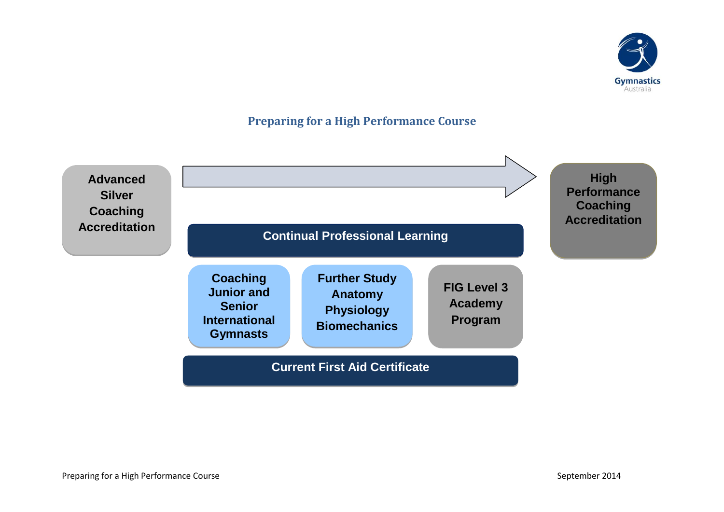

## **Preparing for a High Performance Course**